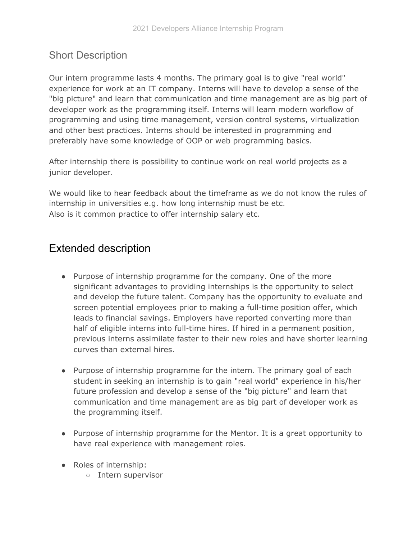## Short Description

Our intern programme lasts 4 months. The primary goal is to give "real world" experience for work at an IT company. Interns will have to develop a sense of the "big picture" and learn that communication and time management are as big part of developer work as the programming itself. Interns will learn modern workflow of programming and using time management, version control systems, virtualization and other best practices. Interns should be interested in programming and preferably have some knowledge of OOP or web programming basics.

After internship there is possibility to continue work on real world projects as a junior developer.

We would like to hear feedback about the timeframe as we do not know the rules of internship in universities e.g. how long internship must be etc. Also is it common practice to offer internship salary etc.

## Extended description

- Purpose of internship programme for the company. One of the more significant advantages to providing internships is the opportunity to select and develop the future talent. Company has the opportunity to evaluate and screen potential employees prior to making a full-time position offer, which leads to financial savings. Employers have reported converting more than half of eligible interns into full-time hires. If hired in a permanent position, previous interns assimilate faster to their new roles and have shorter learning curves than external hires.
- Purpose of internship programme for the intern. The primary goal of each student in seeking an internship is to gain "real world" experience in his/her future profession and develop a sense of the "big picture" and learn that communication and time management are as big part of developer work as the programming itself.
- Purpose of internship programme for the Mentor. It is a great opportunity to have real experience with management roles.
- Roles of internship:
	- Intern supervisor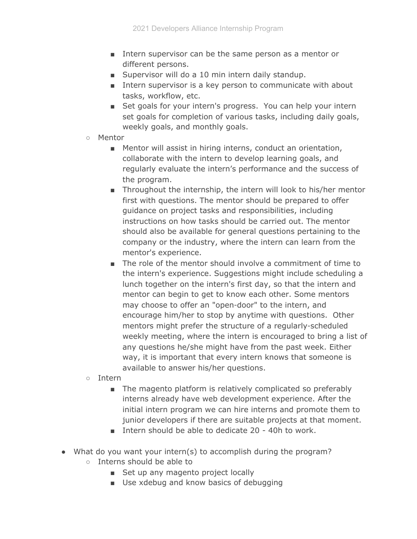- Intern supervisor can be the same person as a mentor or different persons.
- Supervisor will do a 10 min intern daily standup.
- Intern supervisor is a key person to communicate with about tasks, workflow, etc.
- Set goals for your intern's progress. You can help your intern set goals for completion of various tasks, including daily goals, weekly goals, and monthly goals.
- Mentor
	- Mentor will assist in hiring interns, conduct an orientation, collaborate with the intern to develop learning goals, and regularly evaluate the intern's performance and the success of the program.
	- Throughout the internship, the intern will look to his/her mentor first with questions. The mentor should be prepared to offer guidance on project tasks and responsibilities, including instructions on how tasks should be carried out. The mentor should also be available for general questions pertaining to the company or the industry, where the intern can learn from the mentor's experience.
	- The role of the mentor should involve a commitment of time to the intern's experience. Suggestions might include scheduling a lunch together on the intern's first day, so that the intern and mentor can begin to get to know each other. Some mentors may choose to offer an "open-door" to the intern, and encourage him/her to stop by anytime with questions. Other mentors might prefer the structure of a regularly-scheduled weekly meeting, where the intern is encouraged to bring a list of any questions he/she might have from the past week. Either way, it is important that every intern knows that someone is available to answer his/her questions.
- Intern
	- The magento platform is relatively complicated so preferably interns already have web development experience. After the initial intern program we can hire interns and promote them to junior developers if there are suitable projects at that moment.
	- Intern should be able to dedicate 20 40h to work.
- What do you want your intern(s) to accomplish during the program?
	- Interns should be able to
		- Set up any magento project locally
		- Use xdebug and know basics of debugging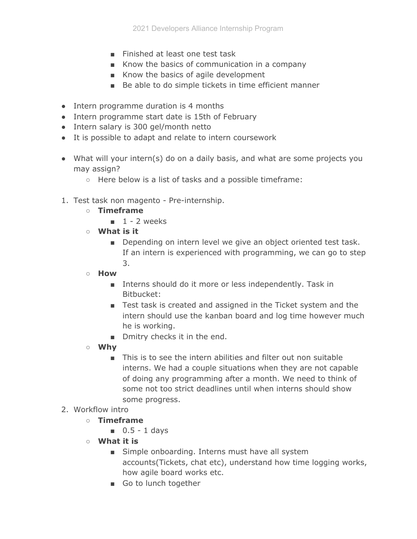- Finished at least one test task
- Know the basics of communication in a company
- Know the basics of agile development
- Be able to do simple tickets in time efficient manner
- Intern programme duration is 4 months
- Intern programme start date is 15th of February
- Intern salary is 300 gel/month netto
- It is possible to adapt and relate to intern coursework
- What will your intern(s) do on a daily basis, and what are some projects you may assign?
	- Here below is a list of tasks and a possible timeframe:
- 1. Test task non magento Pre-internship.
	- **○ Timeframe**
		- $\blacksquare$  1 2 weeks
	- **What is it**
		- Depending on intern level we give an object oriented test task. If an intern is experienced with programming, we can go to step 3.
	- **How**
		- Interns should do it more or less independently. Task in Bitbucket:
		- Test task is created and assigned in the Ticket system and the intern should use the kanban board and log time however much he is working.
		- Dmitry checks it in the end.
	- **Why**
		- This is to see the intern abilities and filter out non suitable interns. We had a couple situations when they are not capable of doing any programming after a month. We need to think of some not too strict deadlines until when interns should show some progress.
- 2. Workflow intro
	- **○ Timeframe**
		- $\Box$  0.5 1 days
	- **What it is**
		- Simple onboarding. Interns must have all system accounts(Tickets, chat etc), understand how time logging works, how agile board works etc.
		- Go to lunch together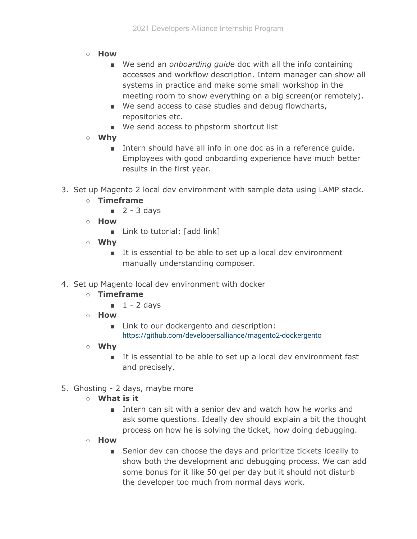- **How**
	- We send an *onboarding quide* doc with all the info containing accesses and workflow description. Intern manager can show all systems in practice and make some small workshop in the meeting room to show everything on a big screen(or remotely).
	- We send access to case studies and debug flowcharts, repositories etc.
	- We send access to phpstorm shortcut list
- **Why**
	- Intern should have all info in one doc as in a reference quide. Employees with good onboarding experience have much better results in the first year.
- 3. Set up Magento 2 local dev environment with sample data using LAMP stack.
	- **○ Timeframe**
		- $\Box$  2 3 days
	- **○ How**
		- Link to tutorial: [add link]
	- **○ Why**
		- It is essential to be able to set up a local dev environment manually understanding composer.
- 4. Set up Magento local dev environment with docker
	- **○ Timeframe**
		- $\blacksquare$  1 2 days
	- **○ How**
		- Link to our dockergento and description: <https://github.com/developersalliance/magento2-dockergento>
	- **○ Why**
		- It is essential to be able to set up a local dev environment fast and precisely.
- 5. Ghosting 2 days, maybe more
	- **What is it**
		- Intern can sit with a senior dev and watch how he works and ask some questions. Ideally dev should explain a bit the thought process on how he is solving the ticket, how doing debugging.
	- **How**
		- Senior dev can choose the days and prioritize tickets ideally to show both the development and debugging process. We can add some bonus for it like 50 gel per day but it should not disturb the developer too much from normal days work.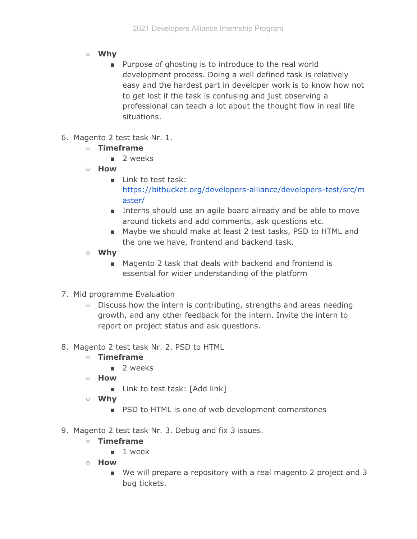- **○ Why**
	- Purpose of ghosting is to introduce to the real world development process. Doing a well defined task is relatively easy and the hardest part in developer work is to know how not to get lost if the task is confusing and just observing a professional can teach a lot about the thought flow in real life situations.
- 6. Magento 2 test task Nr. 1.
	- **○ Timeframe**
		- 2 weeks
	- **○ How**
		- Link to test task: [https://bitbucket.org/developers-alliance/developers-test/src/m](https://bitbucket.org/developers-alliance/developers-test/src/master/) [aster/](https://bitbucket.org/developers-alliance/developers-test/src/master/)
		- Interns should use an agile board already and be able to move around tickets and add comments, ask questions etc.
		- Maybe we should make at least 2 test tasks, PSD to HTML and the one we have, frontend and backend task.
	- **○ Why**
		- Magento 2 task that deals with backend and frontend is essential for wider understanding of the platform
- 7. Mid programme Evaluation
	- Discuss how the intern is contributing, strengths and areas needing growth, and any other feedback for the intern. Invite the intern to report on project status and ask questions.
- 8. Magento 2 test task Nr. 2. PSD to HTML
	- **○ Timeframe**
		- 2 weeks
	- **○ How**
		- Link to test task: [Add link]
	- **○ Why**
		- PSD to HTML is one of web development cornerstones
- 9. Magento 2 test task Nr. 3. Debug and fix 3 issues.
	- **○ Timeframe**
		- 1 week
	- **○ How**
		- We will prepare a repository with a real magento 2 project and 3 bug tickets.